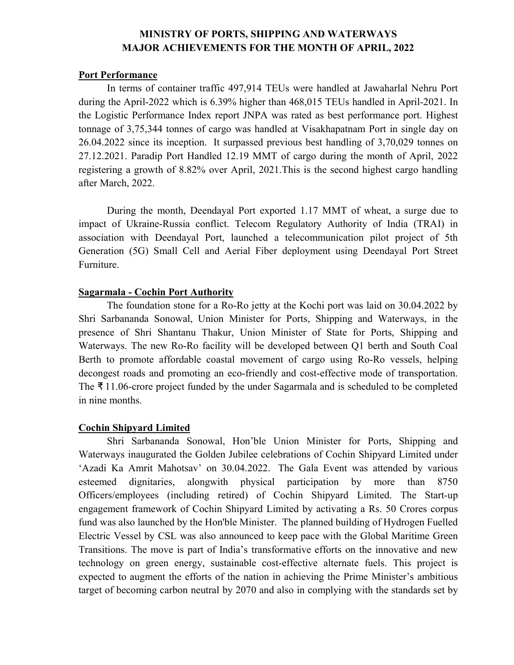## **MINISTRY OF PORTS, SHIPPING AND WATERWAYS MAJOR ACHIEVEMENTS FOR THE MONTH OF APRIL, 2022**

#### **Port Performance**

In terms of container traffic 497,914 TEUs were handled at Jawaharlal Nehru Port during the April-2022 which is 6.39% higher than 468,015 TEUs handled in April-2021. In the Logistic Performance Index report JNPA was rated as best performance port. Highest tonnage of 3,75,344 tonnes of cargo was handled at Visakhapatnam Port in single day on 26.04.2022 since its inception. It surpassed previous best handling of 3,70,029 tonnes on 27.12.2021. Paradip Port Handled 12.19 MMT of cargo during the month of April, 2022 registering a growth of 8.82% over April, 2021.This is the second highest cargo handling after March, 2022.

During the month, Deendayal Port exported 1.17 MMT of wheat, a surge due to impact of Ukraine-Russia conflict. Telecom Regulatory Authority of India (TRAI) in association with Deendayal Port, launched a telecommunication pilot project of 5th Generation (5G) Small Cell and Aerial Fiber deployment using Deendayal Port Street Furniture.

#### **Sagarmala - Cochin Port Authority**

The foundation stone for a Ro-Ro jetty at the Kochi port was laid on 30.04.2022 by Shri Sarbananda Sonowal, Union Minister for Ports, Shipping and Waterways, in the presence of Shri Shantanu Thakur, Union Minister of State for Ports, Shipping and Waterways. The new Ro-Ro facility will be developed between Q1 berth and South Coal Berth to promote affordable coastal movement of cargo using Ro-Ro vessels, helping decongest roads and promoting an eco-friendly and cost-effective mode of transportation. The ₹ 11.06-crore project funded by the under Sagarmala and is scheduled to be completed in nine months.

## **Cochin Shipyard Limited**

Shri Sarbananda Sonowal, Hon'ble Union Minister for Ports, Shipping and Waterways inaugurated the Golden Jubilee celebrations of Cochin Shipyard Limited under 'Azadi Ka Amrit Mahotsav' on 30.04.2022. The Gala Event was attended by various esteemed dignitaries, alongwith physical participation by more than 8750 Officers/employees (including retired) of Cochin Shipyard Limited. The Start-up engagement framework of Cochin Shipyard Limited by activating a Rs. 50 Crores corpus fund was also launched by the Hon'ble Minister. The planned building of Hydrogen Fuelled Electric Vessel by CSL was also announced to keep pace with the Global Maritime Green Transitions. The move is part of India's transformative efforts on the innovative and new technology on green energy, sustainable cost-effective alternate fuels. This project is expected to augment the efforts of the nation in achieving the Prime Minister's ambitious target of becoming carbon neutral by 2070 and also in complying with the standards set by